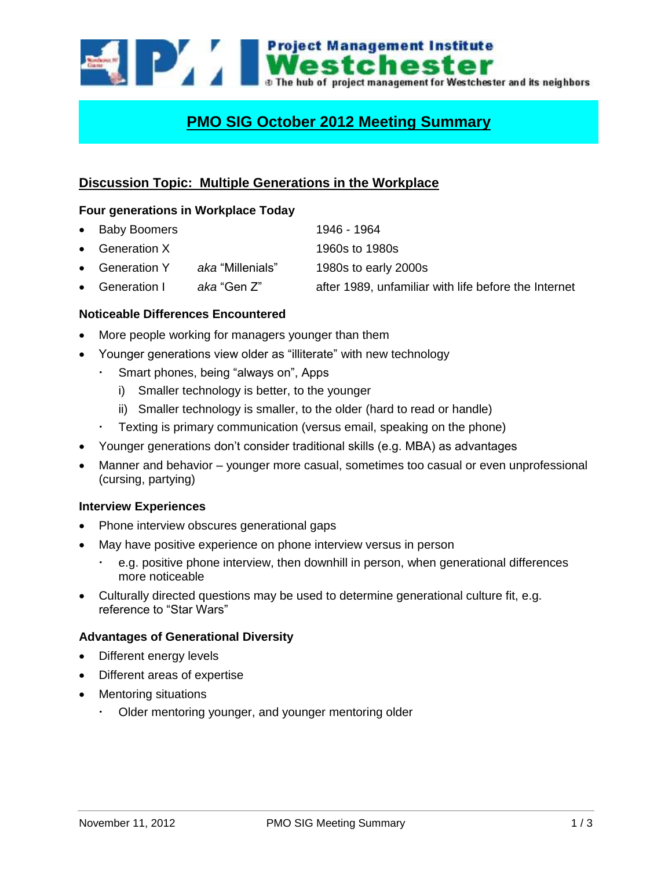

# **PMO SIG October 2012 Meeting Summary**

# **Discussion Topic: Multiple Generations in the Workplace**

#### **Four generations in Workplace Today**

- Baby Boomers 1946 1964
- Generation X 1960s to 1980s
- Generation Y *aka* "Millenials" 1980s to early 2000s
- Generation I *aka* "Gen Z" after 1989, unfamiliar with life before the Internet

# **Noticeable Differences Encountered**

- More people working for managers younger than them
- Younger generations view older as "illiterate" with new technology
	- Smart phones, being "always on", Apps
		- i) Smaller technology is better, to the younger
		- ii) Smaller technology is smaller, to the older (hard to read or handle)
	- Texting is primary communication (versus email, speaking on the phone)
- Younger generations don't consider traditional skills (e.g. MBA) as advantages
- Manner and behavior younger more casual, sometimes too casual or even unprofessional (cursing, partying)

# **Interview Experiences**

- Phone interview obscures generational gaps
- May have positive experience on phone interview versus in person
	- e.g. positive phone interview, then downhill in person, when generational differences more noticeable
- Culturally directed questions may be used to determine generational culture fit, e.g. reference to "Star Wars"

# **Advantages of Generational Diversity**

- Different energy levels
- Different areas of expertise
- Mentoring situations
	- Older mentoring younger, and younger mentoring older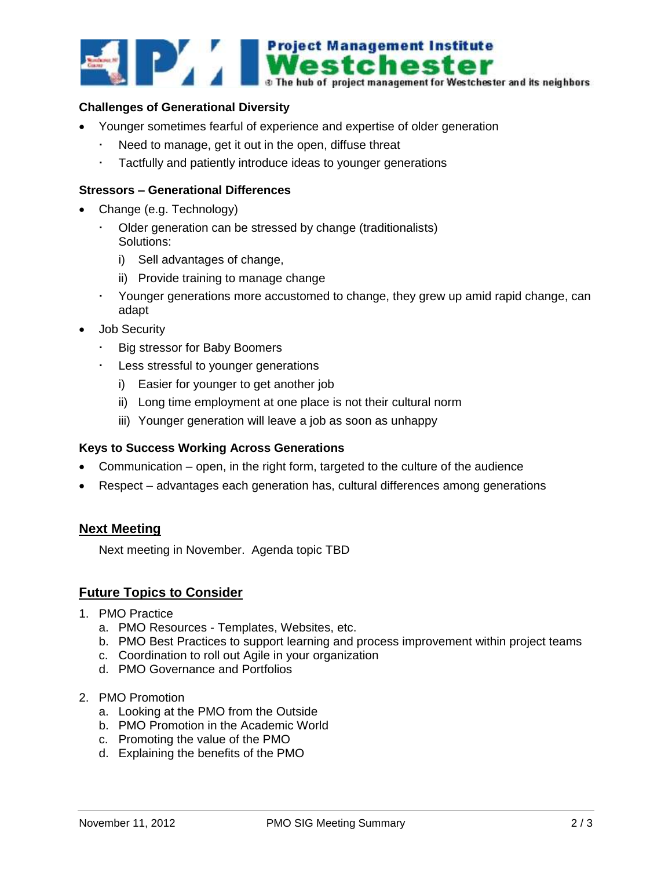

#### **Challenges of Generational Diversity**

- Younger sometimes fearful of experience and expertise of older generation
	- Need to manage, get it out in the open, diffuse threat
	- Tactfully and patiently introduce ideas to younger generations

#### **Stressors – Generational Differences**

- Change (e.g. Technology)
	- Older generation can be stressed by change (traditionalists) Solutions:
		- i) Sell advantages of change,
		- ii) Provide training to manage change
	- Younger generations more accustomed to change, they grew up amid rapid change, can adapt
- Job Security
	- Big stressor for Baby Boomers
	- Less stressful to younger generations
		- i) Easier for younger to get another job
		- ii) Long time employment at one place is not their cultural norm
		- iii) Younger generation will leave a job as soon as unhappy

#### **Keys to Success Working Across Generations**

- Communication open, in the right form, targeted to the culture of the audience
- Respect advantages each generation has, cultural differences among generations

# **Next Meeting**

Next meeting in November. Agenda topic TBD

# **Future Topics to Consider**

- 1. PMO Practice
	- a. PMO Resources Templates, Websites, etc.
	- b. PMO Best Practices to support learning and process improvement within project teams
	- c. Coordination to roll out Agile in your organization
	- d. PMO Governance and Portfolios
- 2. PMO Promotion
	- a. Looking at the PMO from the Outside
	- b. PMO Promotion in the Academic World
	- c. Promoting the value of the PMO
	- d. Explaining the benefits of the PMO